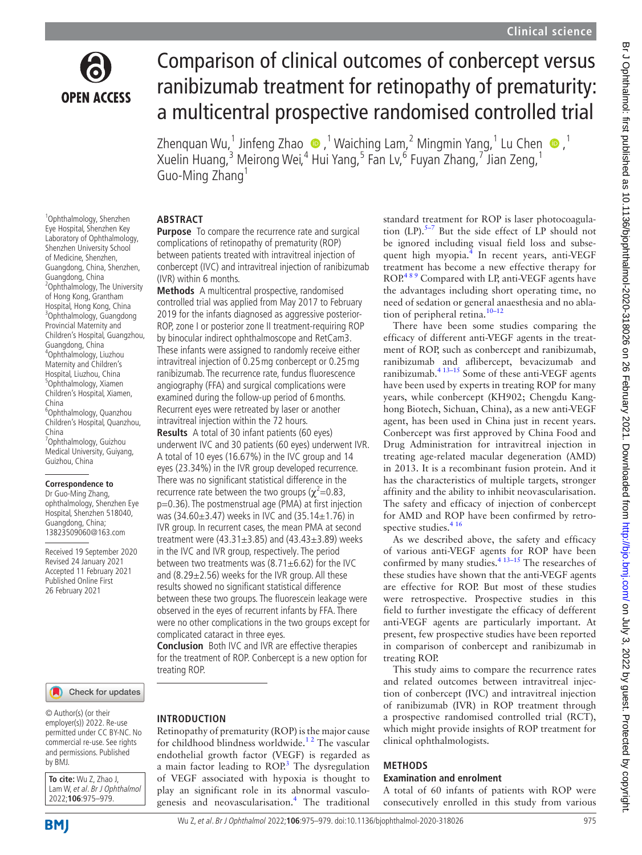

1 Ophthalmology, Shenzhen Eye Hospital, Shenzhen Key Laboratory of Ophthalmology, Shenzhen University School of Medicine, Shenzhen, Guangdong, China, Shenzhen, Guangdong, China

2 Ophthalmology, The University of Hong Kong, Grantham Hospital, Hong Kong, China 3 Ophthalmology, Guangdong Provincial Maternity and Children's Hospital, Guangzhou,

Guangdong, China 4 Ophthalmology, Liuzhou Maternity and Children's Hospital, Liuzhou, China 5 Ophthalmology, Xiamen Children's Hospital, Xiamen,

6 Ophthalmology, Quanzhou Children's Hospital, Quanzhou,

7 Ophthalmology, Guizhou Medical University, Guiyang,

Guizhou, China

**Correspondence to** Dr Guo-Ming Zhang, ophthalmology, Shenzhen Eye Hospital, Shenzhen 518040, Guangdong, China; 13823509060@163.com Received 19 September 2020 Revised 24 January 2021 Accepted 11 February 2021 Published Online First 26 February 2021

China

China

# Comparison of clinical outcomes of conbercept versus ranibizumab treatment for retinopathy of prematurity: a multicentral prospective randomised controlled trial

Zhenquan Wu, 1 Jinfeng Zhao  $\bigcirc$  , 1 Waiching Lam, 2 Mingmin Yang, 1 Lu Chen  $\bigcirc$  , 1 Xuelin Huang, $^3$  Meirong Wei, $^4$  Hui Yang, $^5$  Fan Lv, $^6$  Fuyan Zhang, $^7$  Jian Zeng, $^1$ Guo-Ming Zhang<sup>1</sup>

## **ABSTRACT**

**Purpose** To compare the recurrence rate and surgical complications of retinopathy of prematurity (ROP) between patients treated with intravitreal injection of conbercept (IVC) and intravitreal injection of ranibizumab (IVR) within 6 months.

**Methods** A multicentral prospective, randomised controlled trial was applied from May 2017 to February 2019 for the infants diagnosed as aggressive posterior-ROP, zone I or posterior zone II treatment-requiring ROP by binocular indirect ophthalmoscope and RetCam3. These infants were assigned to randomly receive either intravitreal injection of 0.25mg conbercept or 0.25mg ranibizumab. The recurrence rate, fundus fluorescence angiography (FFA) and surgical complications were examined during the follow-up period of 6months. Recurrent eyes were retreated by laser or another intravitreal injection within the 72 hours.

**Results** A total of 30 infant patients (60 eyes) underwent IVC and 30 patients (60 eyes) underwent IVR. A total of 10 eyes (16.67%) in the IVC group and 14 eyes (23.34%) in the IVR group developed recurrence. There was no significant statistical difference in the recurrence rate between the two groups ( $\chi^2$ =0.83, p=0.36). The postmenstrual age (PMA) at first injection was (34.60±3.47) weeks in IVC and (35.14±1.76) in IVR group. In recurrent cases, the mean PMA at second treatment were (43.31 $\pm$ 3.85) and (43.43 $\pm$ 3.89) weeks in the IVC and IVR group, respectively. The period between two treatments was  $(8.71 \pm 6.62)$  for the IVC and (8.29 $\pm$ 2.56) weeks for the IVR group. All these results showed no significant statistical difference between these two groups. The fluorescein leakage were observed in the eyes of recurrent infants by FFA. There were no other complications in the two groups except for complicated cataract in three eyes.

**Conclusion** Both IVC and IVR are effective therapies for the treatment of ROP. Conbercept is a new option for treating ROP.

Check for updates

© Author(s) (or their employer(s)) 2022. Re-use permitted under CC BY-NC. No commercial re-use. See rights and permissions. Published by BMJ.

**To cite:** Wu Z, Zhao J, Lam W, et al. Br J Ophthalmol 2022;**106**:975–979.

## **INTRODUCTION**

Retinopathy of prematurity (ROP) is the major cause for childhood blindness worldwide.<sup>12</sup> The vascular endothelial growth factor (VEGF) is regarded as a main factor leading to  $ROP<sup>3</sup>$  The dysregulation of VEGF associated with hypoxia is thought to play an significant role in its abnormal vasculogenesis and neovascularisation[.4](#page-4-2) The traditional

standard treatment for ROP is laser photocoagulation  $(LP)$ .<sup>5–7</sup> But the side effect of LP should not be ignored including visual field loss and subse-quent high myopia.<sup>[4](#page-4-2)</sup> In recent years, anti-VEGF treatment has become a new effective therapy for ROP.<sup>489</sup> Compared with LP, anti-VEGF agents have the advantages including short operating time, no need of sedation or general anaesthesia and no ablation of peripheral retina.<sup>10–12</sup>

There have been some studies comparing the efficacy of different anti-VEGF agents in the treatment of ROP, such as conbercept and ranibizumab, ranibizumab and aflibercept, bevacizumab and ranibizumab.<sup>4 13-15</sup> Some of these anti-VEGF agents have been used by experts in treating ROP for many years, while conbercept (KH902; Chengdu Kanghong Biotech, Sichuan, China), as a new anti-VEGF agent, has been used in China just in recent years. Conbercept was first approved by China Food and Drug Administration for intravitreal injection in treating age-related macular degeneration (AMD) in 2013. It is a recombinant fusion protein. And it has the characteristics of multiple targets, stronger affinity and the ability to inhibit neovascularisation. The safety and efficacy of injection of conbercept for AMD and ROP have been confirmed by retrospective studies.<sup>416</sup>

As we described above, the safety and efficacy of various anti-VEGF agents for ROP have been confirmed by many studies.<sup>4 13-15</sup> The researches of these studies have shown that the anti-VEGF agents are effective for ROP. But most of these studies were retrospective. Prospective studies in this field to further investigate the efficacy of defferent anti-VEGF agents are particularly important. At present, few prospective studies have been reported in comparison of conbercept and ranibizumab in treating ROP.

This study aims to compare the recurrence rates and related outcomes between intravitreal injection of conbercept (IVC) and intravitreal injection of ranibizumab (IVR) in ROP treatment through a prospective randomised controlled trial (RCT), which might provide insights of ROP treatment for clinical ophthalmologists.

#### **METHODS**

#### **Examination and enrolment**

A total of 60 infants of patients with ROP were consecutively enrolled in this study from various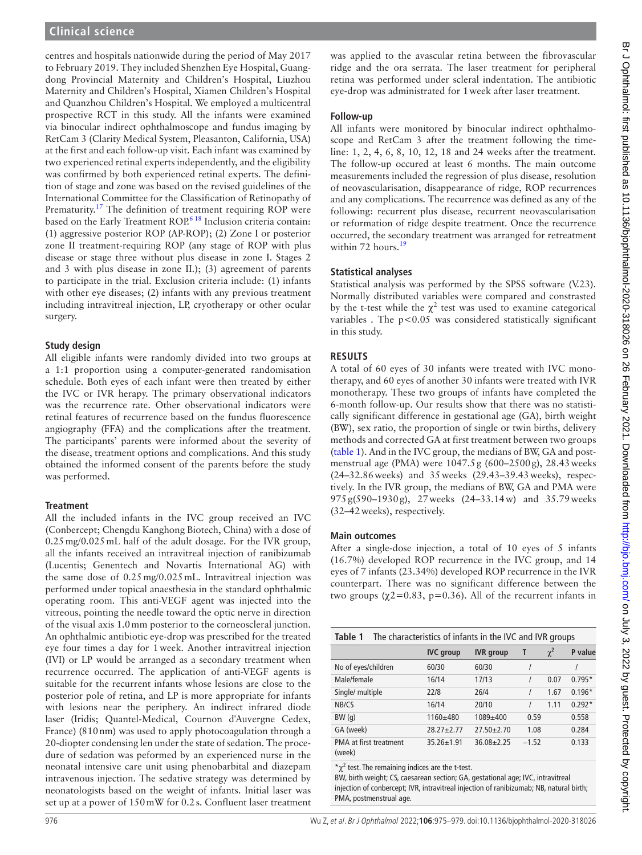Br J Ophthalmol: first published as 10.1136/bjophthalmol-2020-318026 on 26 February 2021. Downloaded from http://bjo.bmj.com/ on July 3, 2022 by guest. Protected by copyright. Br Johnalmol: first published as 10.1136/bjophthalmol-2020-318026 on 26 February 2021. Downloaded from <http://bjo.bmj.com/> on July 3, 2022 by guest. Protected by copyright.

# **Clinical science**

centres and hospitals nationwide during the period of May 2017 to February 2019. They included Shenzhen Eye Hospital, Guangdong Provincial Maternity and Children's Hospital, Liuzhou Maternity and Children's Hospital, Xiamen Children's Hospital and Quanzhou Children's Hospital. We employed a multicentral prospective RCT in this study. All the infants were examined via binocular indirect ophthalmoscope and fundus imaging by RetCam 3 (Clarity Medical System, Pleasanton, California, USA) at the first and each follow-up visit. Each infant was examined by two experienced retinal experts independently, and the eligibility was confirmed by both experienced retinal experts. The definition of stage and zone was based on the revised guidelines of the International Committee for the Classification of Retinopathy of Prematurity.<sup>17</sup> The definition of treatment requiring ROP were based on the Early Treatment ROP.<sup>[6 18](#page-4-6)</sup> Inclusion criteria contain: (1) aggressive posterior ROP (AP-ROP); (2) Zone I or posterior zone II treatment-requiring ROP (any stage of ROP with plus disease or stage three without plus disease in zone I. Stages 2 and 3 with plus disease in zone II.); (3) agreement of parents to participate in the trial. Exclusion criteria include: (1) infants with other eye diseases; (2) infants with any previous treatment including intravitreal injection, LP, cryotherapy or other ocular surgery.

## **Study design**

All eligible infants were randomly divided into two groups at a 1:1 proportion using a computer-generated randomisation schedule. Both eyes of each infant were then treated by either the IVC or IVR herapy. The primary observational indicators was the recurrence rate. Other observational indicators were retinal features of recurrence based on the fundus fluorescence angiography (FFA) and the complications after the treatment. The participants' parents were informed about the severity of the disease, treatment options and complications. And this study obtained the informed consent of the parents before the study was performed.

## **Treatment**

All the included infants in the IVC group received an IVC (Conbercept; Chengdu Kanghong Biotech, China) with a dose of 0.25mg/0.025mL half of the adult dosage. For the IVR group, all the infants received an intravitreal injection of ranibizumab (Lucentis; Genentech and Novartis International AG) with the same dose of 0.25mg/0.025mL. Intravitreal injection was performed under topical anaesthesia in the standard ophthalmic operating room. This anti-VEGF agent was injected into the vitreous, pointing the needle toward the optic nerve in direction of the visual axis 1.0mm posterior to the corneoscleral junction. An ophthalmic antibiotic eye-drop was prescribed for the treated eye four times a day for 1week. Another intravitreal injection (IVI) or LP would be arranged as a secondary treatment when recurrence occurred. The application of anti-VEGF agents is suitable for the recurrent infants whose lesions are close to the posterior pole of retina, and LP is more appropriate for infants with lesions near the periphery. An indirect infrared diode laser (Iridis; Quantel-Medical, Cournon d'Auvergne Cedex, France) (810nm) was used to apply photocoagulation through a 20-diopter condensing len under the state of sedation. The procedure of sedation was peformed by an experienced nurse in the neonatal intensive care unit using phenobarbital and diazepam intravenous injection. The sedative strategy was determined by neonatologists based on the weight of infants. Initial laser was set up at a power of 150mW for 0.2s. Confluent laser treatment

was applied to the avascular retina between the fibrovascular ridge and the ora serrata. The laser treatment for peripheral retina was performed under scleral indentation. The antibiotic eye-drop was administrated for 1week after laser treatment.

## **Follow-up**

All infants were monitored by binocular indirect ophthalmoscope and RetCam 3 after the treatment following the timeline: 1, 2, 4, 6, 8, 10, 12, 18 and 24 weeks after the treatment. The follow-up occured at least 6 months. The main outcome measurements included the regression of plus disease, resolution of neovascularisation, disappearance of ridge, ROP recurrences and any complications. The recurrence was defined as any of the following: recurrent plus disease, recurrent neovascularisation or reformation of ridge despite treatment. Once the recurrence occurred, the secondary treatment was arranged for retreatment within 72 hours.<sup>[19](#page-4-7)</sup>

## **Statistical analyses**

Statistical analysis was performed by the SPSS software (V.23). Normally distributed variables were compared and constrasted by the t-test while the  $\chi^2$  test was used to examine categorical variables . The  $p<0.05$  was considered statistically significant in this study.

# **RESULTS**

A total of 60 eyes of 30 infants were treated with IVC monotherapy, and 60 eyes of another 30 infants were treated with IVR monotherapy. These two groups of infants have completed the 6-month follow-up. Our results show that there was no statistically significant difference in gestational age (GA), birth weight (BW), sex ratio, the proportion of single or twin births, delivery methods and corrected GA at first treatment between two groups ([table](#page-1-0) 1). And in the IVC group, the medians of BW, GA and postmenstrual age (PMA) were 1047.5g (600–2500g), 28.43weeks (24–32.86weeks) and 35weeks (29.43–39.43weeks), respectively. In the IVR group, the medians of BW, GA and PMA were 975g(590–1930g), 27weeks (24–33.14w) and 35.79weeks (32–42weeks), respectively.

# **Main outcomes**

After a single-dose injection, a total of 10 eyes of 5 infants (16.7%) developed ROP recurrence in the IVC group, and 14 eyes of 7 infants (23.34%) developed ROP recurrence in the IVR counterpart. There was no significant difference between the two groups ( $\chi$ 2=0.83, p=0.36). All of the recurrent infants in

<span id="page-1-0"></span>

| The characteristics of infants in the IVC and IVR groups<br>Table 1 |                  |                  |          |          |          |  |  |
|---------------------------------------------------------------------|------------------|------------------|----------|----------|----------|--|--|
|                                                                     | <b>IVC</b> group | <b>IVR</b> group | Τ        | $\chi^2$ | P value  |  |  |
| No of eyes/children                                                 | 60/30            | 60/30            |          |          |          |  |  |
| Male/female                                                         | 16/14            | 17/13            | $\prime$ | 0.07     | $0.795*$ |  |  |
| Single/ multiple                                                    | 22/8             | 26/4             |          | 1.67     | $0.196*$ |  |  |
| NB/CS                                                               | 16/14            | 20/10            | $\prime$ | 1.11     | $0.292*$ |  |  |
| BW(q)                                                               | $1160 + 480$     | 1089±400         | 0.59     |          | 0.558    |  |  |
| GA (week)                                                           | $28.27 + 2.77$   | $27.50 + 2.70$   | 1.08     |          | 0.284    |  |  |
| PMA at first treatment<br>(week)                                    | $35.26 \pm 1.91$ | $36.08 + 2.25$   | $-1.52$  |          | 0.133    |  |  |

 $\chi^2$  test. The remaining indices are the t-test.

BW, birth weight; CS, caesarean section; GA, gestational age; IVC, intravitreal injection of conbercept; IVR, intravitreal injection of ranibizumab; NB, natural birth; PMA, postmenstrual age.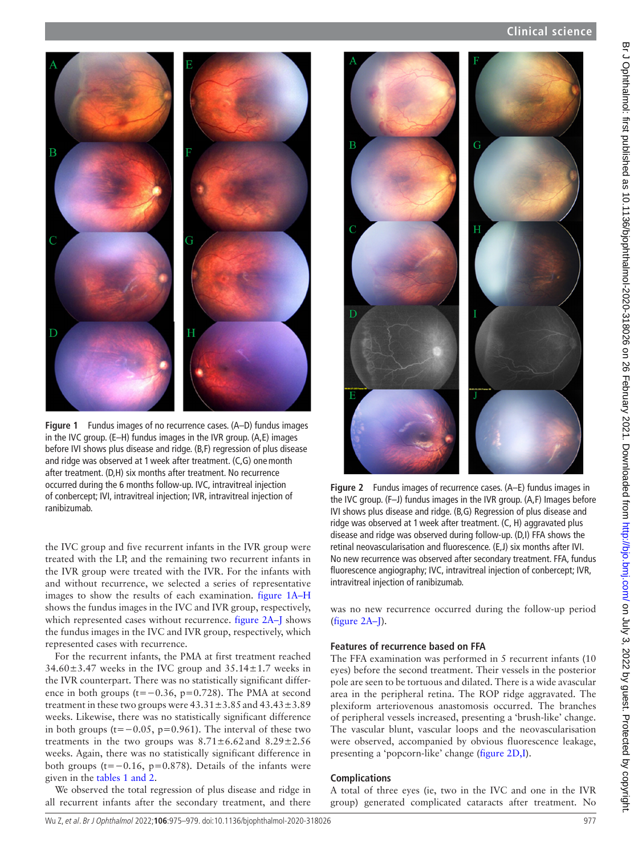

**Figure 1** Fundus images of no recurrence cases. (A–D) fundus images in the IVC group. (E–H) fundus images in the IVR group. (A,E) images before IVI shows plus disease and ridge. (B,F) regression of plus disease and ridge was observed at 1week after treatment. (C,G) onemonth after treatment. (D,H) six months after treatment. No recurrence occurred during the 6 months follow-up. IVC, intravitreal injection of conbercept; IVI, intravitreal injection; IVR, intravitreal injection of ranibizumab.

<span id="page-2-0"></span>the IVC group and five recurrent infants in the IVR group were treated with the LP, and the remaining two recurrent infants in the IVR group were treated with the IVR. For the infants with and without recurrence, we selected a series of representative images to show the results of each examination. figure [1A–H](#page-2-0) shows the fundus images in the IVC and IVR group, respectively, which represented cases without recurrence. [figure](#page-2-1) 2A–J shows the fundus images in the IVC and IVR group, respectively, which represented cases with recurrence.

For the recurrent infants, the PMA at first treatment reached  $34.60\pm3.47$  weeks in the IVC group and  $35.14\pm1.7$  weeks in the IVR counterpart. There was no statistically significant difference in both groups (t=−0.36, p=0.728). The PMA at second treatment in these two groups were  $43.31 \pm 3.85$  and  $43.43 \pm 3.89$ weeks. Likewise, there was no statistically significant difference in both groups ( $t=-0.05$ ,  $p=0.961$ ). The interval of these two treatments in the two groups was  $8.71 \pm 6.62$  and  $8.29 \pm 2.56$ weeks. Again, there was no statistically significant difference in both groups (t= $-0.16$ , p=0.878). Details of the infants were given in the tables [1 and 2](#page-1-0).

We observed the total regression of plus disease and ridge in all recurrent infants after the secondary treatment, and there



**Figure 2** Fundus images of recurrence cases. (A–E) fundus images in the IVC group. (F–J) fundus images in the IVR group. (A,F) Images before IVI shows plus disease and ridge. (B,G) Regression of plus disease and ridge was observed at 1week after treatment. (C, H) aggravated plus disease and ridge was observed during follow-up. (D,I) FFA shows the retinal neovascularisation and fluorescence. (E,J) six months after IVI. No new recurrence was observed after secondary treatment. FFA, fundus fluorescence angiography; IVC, intravitreal injection of conbercept; IVR, intravitreal injection of ranibizumab.

<span id="page-2-1"></span>was no new recurrence occurred during the follow-up period ([figure](#page-2-1) 2A–J).

#### **Features of recurrence based on FFA**

The FFA examination was performed in 5 recurrent infants (10 eyes) before the second treatment. Their vessels in the posterior pole are seen to be tortuous and dilated. There is a wide avascular area in the peripheral retina. The ROP ridge aggravated. The plexiform arteriovenous anastomosis occurred. The branches of peripheral vessels increased, presenting a 'brush-like' change. The vascular blunt, vascular loops and the neovascularisation were observed, accompanied by obvious fluorescence leakage, presenting a 'popcorn-like' change [\(figure](#page-2-1) 2D,I).

#### **Complications**

A total of three eyes (ie, two in the IVC and one in the IVR group) generated complicated cataracts after treatment. No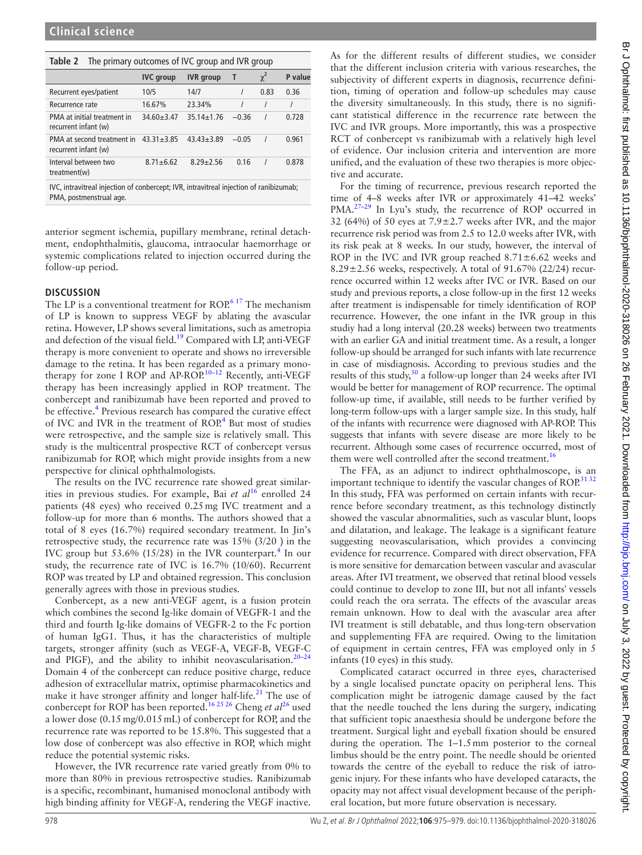| idbie z<br>The primary outcomes or ive group and ivid group |                  |                  |         |          |         |  |  |
|-------------------------------------------------------------|------------------|------------------|---------|----------|---------|--|--|
|                                                             | <b>IVC</b> group | <b>IVR</b> group |         | $\chi^2$ | P value |  |  |
| Recurrent eyes/patient                                      | 10/5             | 14/7             |         | 0.83     | 0.36    |  |  |
| Recurrence rate                                             | 16.67%           | 23.34%           |         |          |         |  |  |
| PMA at initial treatment in<br>recurrent infant (w)         | $34.60 \pm 3.47$ | $35.14 \pm 1.76$ | $-0.36$ |          | 0.728   |  |  |
| PMA at second treatment in<br>recurrent infant (w)          | $43.31 \pm 3.85$ | $43.43 + 3.89$   | $-0.05$ |          | 0.961   |  |  |
| Interval between two<br>treatment(w)                        | $8.71 \pm 6.62$  | $8.29 + 2.56$    | 0.16    |          | 0.878   |  |  |
|                                                             |                  |                  |         |          |         |  |  |

**Table 2** The primary outcomes of IVC group and IVR group

IVC, intravitreal injection of conbercept; IVR, intravitreal injection of ranibizumab; PMA, postmenstrual age.

anterior segment ischemia, pupillary membrane, retinal detachment, endophthalmitis, glaucoma, intraocular haemorrhage or systemic complications related to injection occurred during the follow-up period.

### **DISCUSSION**

The LP is a conventional treatment for ROP.<sup>[6 17](#page-4-6)</sup> The mechanism of LP is known to suppress VEGF by ablating the avascular retina. However, LP shows several limitations, such as ametropia and defection of the visual field.[19](#page-4-7) Compared with LP, anti-VEGF therapy is more convenient to operate and shows no irreversible damage to the retina. It has been regarded as a primary monotherapy for zone I ROP and AP-ROP.<sup>10-12</sup> Recently, anti-VEGF therapy has been increasingly applied in ROP treatment. The conbercept and ranibizumab have been reported and proved to be effective.<sup>4</sup> Previous research has compared the curative effect of IVC and IVR in the treatment of ROP.<sup>[4](#page-4-2)</sup> But most of studies were retrospective, and the sample size is relatively small. This study is the multicentral prospective RCT of conbercept versus ranibizumab for ROP, which might provide insights from a new perspective for clinical ophthalmologists.

The results on the IVC recurrence rate showed great similarities in previous studies. For example, Bai *et al*<sup>16</sup> enrolled 24 patients (48 eyes) who received 0.25mg IVC treatment and a follow-up for more than 6 months. The authors showed that a total of 8 eyes (16.7%) required secondary treatment. In Jin's retrospective study, the recurrence rate was  $15\%$  (3/20) in the IVC group but 53.6% (15/28) in the IVR counterpart.<sup>[4](#page-4-2)</sup> In our study, the recurrence rate of IVC is 16.7% (10/60). Recurrent ROP was treated by LP and obtained regression. This conclusion generally agrees with those in previous studies.

Conbercept, as a new anti-VEGF agent, is a fusion protein which combines the second Ig-like domain of VEGFR-1 and the third and fourth Ig-like domains of VEGFR-2 to the Fc portion of human IgG1. Thus, it has the characteristics of multiple targets, stronger affinity (such as VEGF-A, VEGF-B, VEGF-C and PIGF), and the ability to inhibit neovascularisation.<sup>20-24</sup> Domain 4 of the conbercept can reduce positive charge, reduce adhesion of extracellular matrix, optimise pharmacokinetics and make it have stronger affinity and longer half-life.<sup>[21](#page-4-10)</sup> The use of conbercept for ROP has been reported.<sup>16 25 26</sup> Cheng *et al*<sup>26</sup> used a lower dose (0.15mg/0.015mL) of conbercept for ROP, and the recurrence rate was reported to be 15.8%. This suggested that a low dose of conbercept was also effective in ROP, which might reduce the potential systemic risks.

However, the IVR recurrence rate varied greatly from 0% to more than 80% in previous retrospective studies. Ranibizumab is a specific, recombinant, humanised monoclonal antibody with high binding affinity for VEGF-A, rendering the VEGF inactive.

As for the different results of different studies, we consider that the different inclusion criteria with various researches, the subjectivity of different experts in diagnosis, recurrence definition, timing of operation and follow-up schedules may cause the diversity simultaneously. In this study, there is no significant statistical difference in the recurrence rate between the IVC and IVR groups. More importantly, this was a prospective RCT of conbercept vs ranibizumab with a relatively high level of evidence. Our inclusion criteria and intervention are more unified, and the evaluation of these two therapies is more objective and accurate.

For the timing of recurrence, previous research reported the time of 4–8 weeks after IVR or approximately 41–42 weeks' PMA.<sup>27-29</sup> In Lyu's study, the recurrence of ROP occurred in 32 (64%) of 50 eyes at  $7.9 \pm 2.7$  weeks after IVR, and the major recurrence risk period was from 2.5 to 12.0 weeks after IVR, with its risk peak at 8 weeks. In our study, however, the interval of ROP in the IVC and IVR group reached  $8.71 \pm 6.62$  weeks and 8.29 $\pm$ 2.56 weeks, respectively. A total of 91.67% (22/24) recurrence occurred within 12 weeks after IVC or IVR. Based on our study and previous reports, a close follow-up in the first 12 weeks after treatment is indispensable for timely identification of ROP recurrence. However, the one infant in the IVR group in this studiy had a long interval (20.28 weeks) between two treatments with an earlier GA and initial treatment time. As a result, a longer follow-up should be arranged for such infants with late recurrence in case of misdiagnosis. According to previous studies and the results of this study,<sup>30</sup> a follow-up longer than 24 weeks after IVI would be better for management of ROP recurrence. The optimal follow-up time, if available, still needs to be further verified by long-term follow-ups with a larger sample size. In this study, half of the infants with recurrence were diagnosed with AP-ROP. This suggests that infants with severe disease are more likely to be recurrent. Although some cases of recurrence occurred, most of them were well controlled after the second treatment.<sup>[16](#page-4-8)</sup>

The FFA, as an adjunct to indirect ophthalmoscope, is an important technique to identify the vascular changes of ROP.<sup>3132</sup> In this study, FFA was performed on certain infants with recurrence before secondary treatment, as this technology distinctly showed the vascular abnormalities, such as vascular blunt, loops and dilatation, and leakage. The leakage is a significant feature suggesting neovascularisation, which provides a convincing evidence for recurrence. Compared with direct observation, FFA is more sensitive for demarcation between vascular and avascular areas. After IVI treatment, we observed that retinal blood vessels could continue to develop to zone III, but not all infants' vessels could reach the ora serrata. The effects of the avascular areas remain unknown. How to deal with the avascular area after IVI treatment is still debatable, and thus long-tern observation and supplementing FFA are required. Owing to the limitation of equipment in certain centres, FFA was employed only in 5 infants (10 eyes) in this study.

Complicated cataract occurred in three eyes, characterised by a single localised punctate opacity on peripheral lens. This complication might be iatrogenic damage caused by the fact that the needle touched the lens during the surgery, indicating that sufficient topic anaesthesia should be undergone before the treatment. Surgical light and eyeball fixation should be ensured during the operation. The 1–1.5mm posterior to the corneal limbus should be the entry point. The needle should be oriented towards the centre of the eyeball to reduce the risk of iatrogenic injury. For these infants who have developed cataracts, the opacity may not affect visual development because of the peripheral location, but more future observation is necessary.